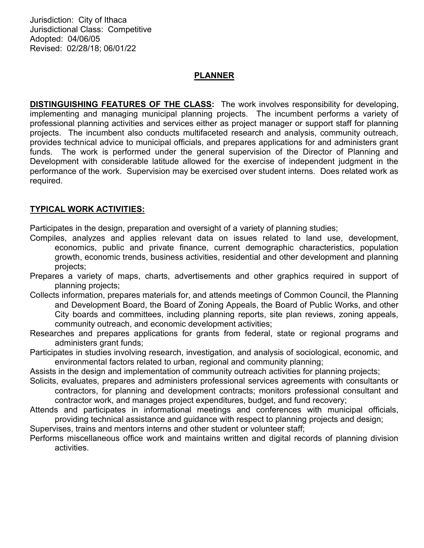Jurisdiction: City of Ithaca Jurisdictional Class: Competitive Adopted: 04/06/05 Revised: 02/28/18; 06/01/22

## PLANNER

DISTINGUISHING FEATURES OF THE CLASS: The work involves responsibility for developing, implementing and managing municipal planning projects. The incumbent performs a variety of professional planning activities and services either as project manager or support staff for planning projects. The incumbent also conducts multifaceted research and analysis, community outreach, provides technical advice to municipal officials, and prepares applications for and administers grant funds. The work is performed under the general supervision of the Director of Planning and Development with considerable latitude allowed for the exercise of independent judgment in the performance of the work. Supervision may be exercised over student interns. Does related work as required.

## TYPICAL WORK ACTIVITIES:

Participates in the design, preparation and oversight of a variety of planning studies;

- Compiles, analyzes and applies relevant data on issues related to land use, development, economics, public and private finance, current demographic characteristics, population growth, economic trends, business activities, residential and other development and planning projects;
- Prepares a variety of maps, charts, advertisements and other graphics required in support of planning projects;
- Collects information, prepares materials for, and attends meetings of Common Council, the Planning and Development Board, the Board of Zoning Appeals, the Board of Public Works, and other City boards and committees, including planning reports, site plan reviews, zoning appeals, community outreach, and economic development activities;
- Researches and prepares applications for grants from federal, state or regional programs and administers grant funds;
- Participates in studies involving research, investigation, and analysis of sociological, economic, and environmental factors related to urban, regional and community planning;

Assists in the design and implementation of community outreach activities for planning projects;

- Solicits, evaluates, prepares and administers professional services agreements with consultants or contractors, for planning and development contracts; monitors professional consultant and contractor work, and manages project expenditures, budget, and fund recovery;
- Attends and participates in informational meetings and conferences with municipal officials, providing technical assistance and guidance with respect to planning projects and design;
- Supervises, trains and mentors interns and other student or volunteer staff;
- Performs miscellaneous office work and maintains written and digital records of planning division activities.